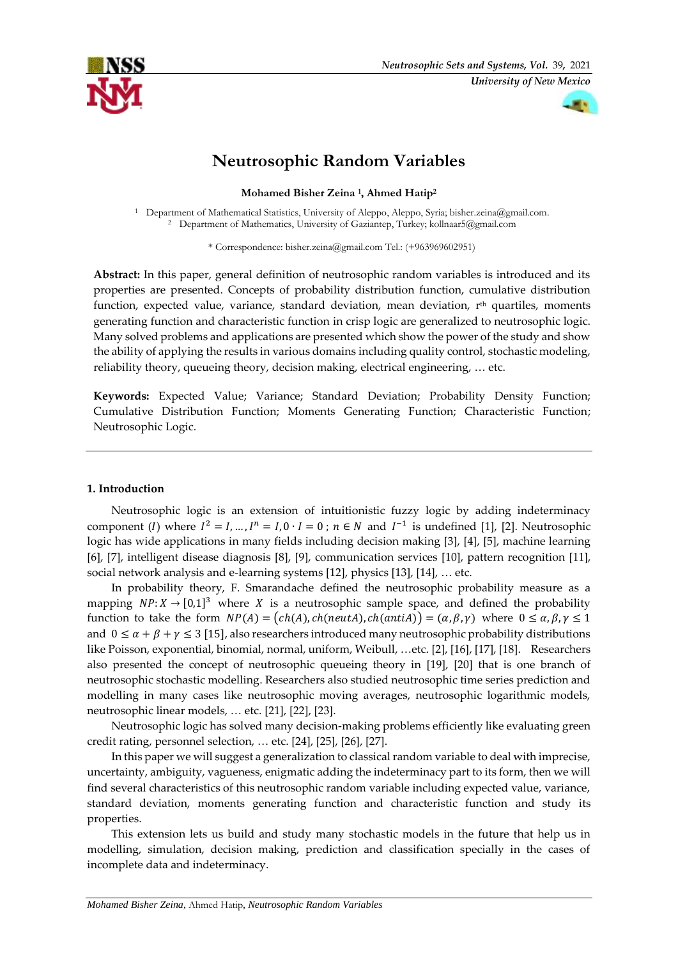



# **Neutrosophic Random Variables**

**Mohamed Bisher Zeina <sup>1</sup> , Ahmed Hatip<sup>2</sup>**

<sup>1</sup> Department of Mathematical Statistics, University of Aleppo, Aleppo, Syria; [bisher.zeina@gmail.com.](mailto:bisher.zeina@gmail.com) <sup>2</sup> Department of Mathematics, University of Gaziantep, Turkey; [kollnaar5@gmail.com](mailto:kollnaar5@gmail.com)

\* Correspondence: bisher.zeina@gmail.com Tel.: (+963969602951)

**Abstract:** In this paper, general definition of neutrosophic random variables is introduced and its properties are presented. Concepts of probability distribution function, cumulative distribution function, expected value, variance, standard deviation, mean deviation, r<sup>th</sup> quartiles, moments generating function and characteristic function in crisp logic are generalized to neutrosophic logic. Many solved problems and applications are presented which show the power of the study and show the ability of applying the results in various domains including quality control, stochastic modeling, reliability theory, queueing theory, decision making, electrical engineering, … etc.

**Keywords:** Expected Value; Variance; Standard Deviation; Probability Density Function; Cumulative Distribution Function; Moments Generating Function; Characteristic Function; Neutrosophic Logic.

# **1. Introduction**

Neutrosophic logic is an extension of intuitionistic fuzzy logic by adding indeterminacy component (*I*) where  $I^2 = I, ..., I^n = I, 0 \cdot I = 0$ ;  $n \in N$  and  $I^{-1}$  is undefined [1], [2]. Neutrosophic logic has wide applications in many fields including decision making [3], [4], [5], machine learning [6], [7], intelligent disease diagnosis [8], [9], communication services [10], pattern recognition [11], social network analysis and e-learning systems [12], physics [13], [14], … etc.

In probability theory, F. Smarandache defined the neutrosophic probability measure as a mapping  $NP: X \rightarrow [0,1]^3$  where X is a neutrosophic sample space, and defined the probability function to take the form  $NP(A) = (ch(A), ch(neutA), ch(antiA)) = (\alpha, \beta, \gamma)$  where  $0 \le \alpha, \beta, \gamma \le 1$ and  $0 \le \alpha + \beta + \gamma \le 3$  [15], also researchers introduced many neutrosophic probability distributions like Poisson, exponential, binomial, normal, uniform, Weibull, …etc. [2], [16], [17], [18]. Researchers also presented the concept of neutrosophic queueing theory in [19], [20] that is one branch of neutrosophic stochastic modelling. Researchers also studied neutrosophic time series prediction and modelling in many cases like neutrosophic moving averages, neutrosophic logarithmic models, neutrosophic linear models, … etc. [21], [22], [23].

Neutrosophic logic has solved many decision-making problems efficiently like evaluating green credit rating, personnel selection, … etc. [24], [25], [26], [27].

In this paper we will suggest a generalization to classical random variable to deal with imprecise, uncertainty, ambiguity, vagueness, enigmatic adding the indeterminacy part to its form, then we will find several characteristics of this neutrosophic random variable including expected value, variance, standard deviation, moments generating function and characteristic function and study its properties.

This extension lets us build and study many stochastic models in the future that help us in modelling, simulation, decision making, prediction and classification specially in the cases of incomplete data and indeterminacy.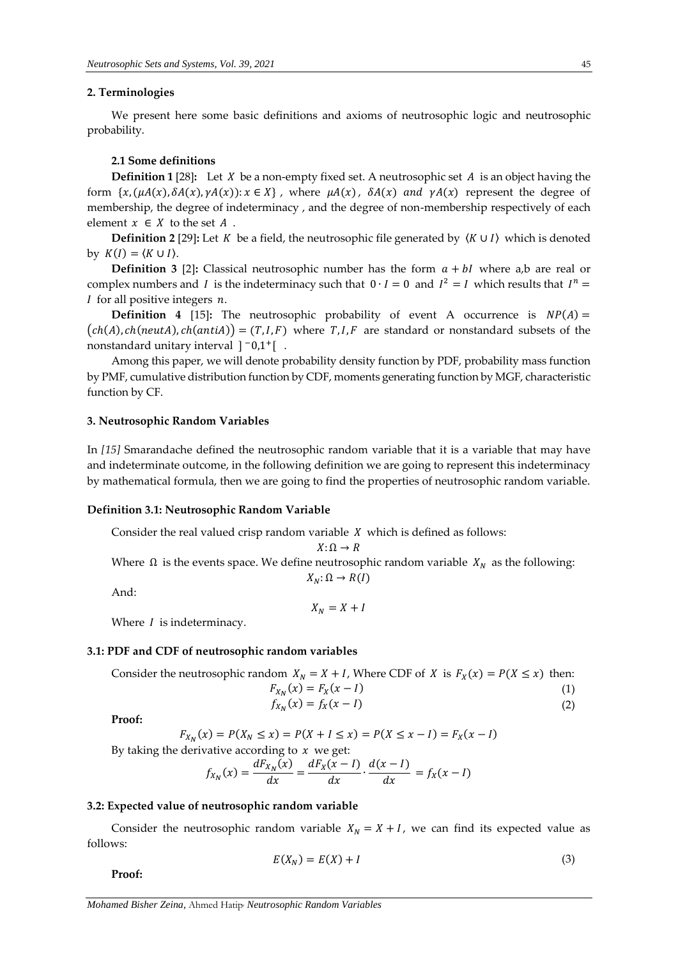#### **2. Terminologies**

We present here some basic definitions and axioms of neutrosophic logic and neutrosophic probability.

## **2.1 Some definitions**

**Definition 1 [28]:** Let  $X$  be a non-empty fixed set. A neutrosophic set  $A$  is an object having the form  $\{x, (\mu A(x), \delta A(x), \gamma A(x)) : x \in X\}$ , where  $\mu A(x)$ ,  $\delta A(x)$  and  $\gamma A(x)$  represent the degree of membership, the degree of indeterminacy , and the degree of non-membership respectively of each element  $x \in X$  to the set  $A$ .

**Definition 2** [29]: Let *K* be a field, the neutrosophic file generated by  $\langle K \cup I \rangle$  which is denoted by  $K(I) = \langle K \cup I \rangle$ .

**Definition 3 [2]:** Classical neutrosophic number has the form  $a + bI$  where a,b are real or complex numbers and I is the indeterminacy such that  $0 \cdot I = 0$  and  $I^2 = I$  which results that  $I^n =$  $I$  for all positive integers  $n$ .

**Definition 4 [15]:** The neutrosophic probability of event A occurrence is  $NP(A) =$  $(ch(A), ch(new(A), ch(anti(A))) = (T, I, F)$  where  $T, I, F$  are standard or nonstandard subsets of the nonstandard unitary interval ]<sup>-</sup>0,1<sup>+</sup>[...

Among this paper, we will denote probability density function by PDF, probability mass function by PMF, cumulative distribution function by CDF, moments generating function by MGF, characteristic function by CF.

#### **3. Neutrosophic Random Variables**

In *[15]* Smarandache defined the neutrosophic random variable that it is a variable that may have and indeterminate outcome, in the following definition we are going to represent this indeterminacy by mathematical formula, then we are going to find the properties of neutrosophic random variable.

#### **Definition 3.1: Neutrosophic Random Variable**

Consider the real valued crisp random variable  $X$  which is defined as follows:

$$
X\colon\Omega\to R
$$

Where  $\Omega$  is the events space. We define neutrosophic random variable  $X_N$  as the following:  $X_N$ :  $\Omega \to R(I)$ 

And:

$$
X_N = X + I
$$

Where  $I$  is indeterminacy.

#### **3.1: PDF and CDF of neutrosophic random variables**

Consider the neutrosophic random  $X_N = X + I$ , Where CDF of X is  $F_X(x) = P(X \le x)$  then:

$$
F_{X_N}(x) = F_X(x - I)
$$
  
(1)  

$$
f_{X_N}(x) = f_X(x - I)
$$
  
(2)

**Proof:**

$$
F_{X_N}(x) = P(X_N \le x) = P(X + I \le x) = P(X \le x - I) = F_X(x - I)
$$

By taking the derivative according to  $x$  we get:

$$
f_{X_N}(x) = \frac{dF_{X_N}(x)}{dx} = \frac{dF_X(x - I)}{dx} \cdot \frac{d(x - I)}{dx} = f_X(x - I)
$$

## **3.2: Expected value of neutrosophic random variable**

Consider the neutrosophic random variable  $X_N = X + I$ , we can find its expected value as follows:

$$
E(X_N) = E(X) + I \tag{3}
$$

**Proof:**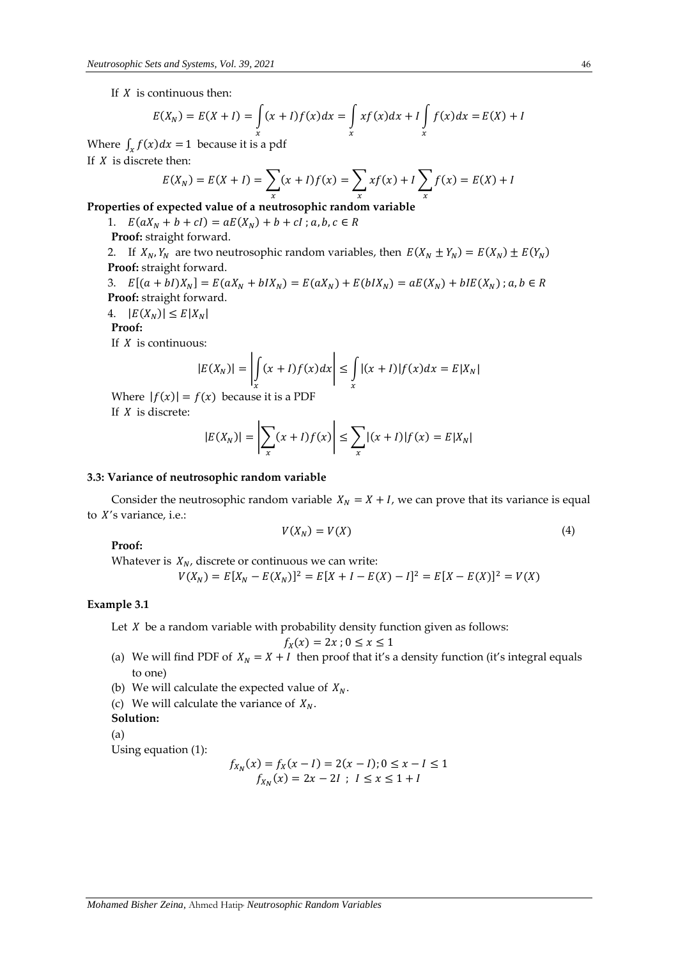If  $X$  is continuous then:

$$
E(X_N) = E(X + I) = \int_{x}^{X} (x + I)f(x)dx = \int_{x}^{X} xf(x)dx + I \int_{x}^{Y} f(x)dx = E(X) + I
$$

Where  $\int_x f(x) dx = 1$  because it is a pdf If  $X$  is discrete then:

$$
E(X_N) = E(X + I) = \sum_{x} (x + I)f(x) = \sum_{x} x f(x) + I \sum_{x} f(x) = E(X) + I
$$

**Properties of expected value of a neutrosophic random variable**

1.  $E(aX_N + b + cI) = aE(X_N) + b + cI$ ; a, b, c  $\in R$ **Proof:** straight forward.

2. If  $X_N$ ,  $Y_N$  are two neutrosophic random variables, then  $E(X_N \pm Y_N) = E(X_N) \pm E(Y_N)$ **Proof:** straight forward.

3.  $E[(a + bI)X_N] = E(aX_N + bIX_N) = E(aX_N) + E(bIX_N) = aE(X_N) + bIE(X_N)$ ;  $a, b \in R$ **Proof:** straight forward.

4.  $|E(X_N)| \le E|X_N|$ 

**Proof:**

If  $X$  is continuous:

$$
|E(X_N)| = \left| \int_x (x+I)f(x)dx \right| \le \int_x |(x+I)|f(x)dx = E|X_N|
$$

Where  $|f(x)| = f(x)$  because it is a PDF If  $X$  is discrete:

$$
|E(X_N)| = \left|\sum_{x} (x+I)f(x)\right| \le \sum_{x} |(x+I)|f(x) = E|X_N|
$$

#### **3.3: Variance of neutrosophic random variable**

Consider the neutrosophic random variable  $X_N = X + I$ , we can prove that its variance is equal to  $X$ 's variance, i.e.:

$$
V(X_N) = V(X) \tag{4}
$$

**Proof:**

Whatever is  $X_N$ , discrete or continuous we can write:

 $V(X_N) = E[X_N - E(X_N)]^2 = E[X + I - E(X) - I]^2 = E[X - E(X)]^2 = V(X)$ 

## **Example 3.1**

Let  $X$  be a random variable with probability density function given as follows:

$$
f_X(x) = 2x \, ; \, 0 \le x \le 1
$$

- (a) We will find PDF of  $X_N = X + I$  then proof that it's a density function (it's integral equals to one)
- (b) We will calculate the expected value of  $X_N$ .
- (c) We will calculate the variance of  $X_N$ .

**Solution:**

(a)

Using equation (1):

$$
f_{X_N}(x) = f_X(x - l) = 2(x - l); 0 \le x - l \le 1
$$
  

$$
f_{X_N}(x) = 2x - 2l; l \le x \le 1 + l
$$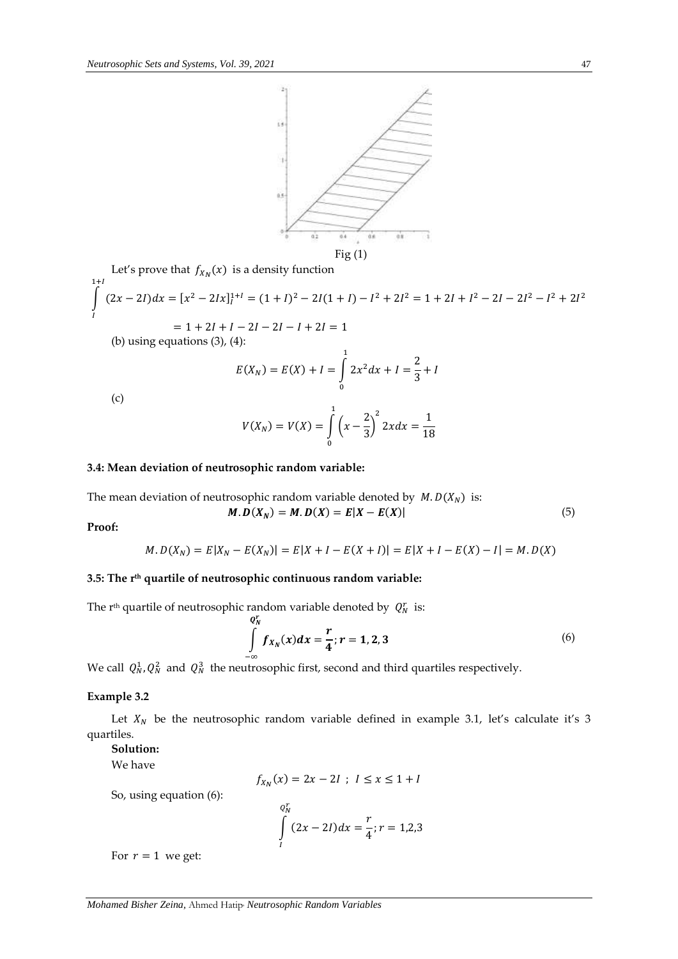

Let's prove that  $f_{X_N}(x)$  is a density function  $\int (2x-2I)dx = [x^2-2Ix]_I^{1+I} = (1+I)^2 - 2I(1+I) - I^2 + 2I^2 = 1 + 2I + I^2 - 2I - 2I^2 - I^2 + 2I^2$  $1+I$ I  $= 1 + 2I + I - 2I - 2I - I + 2I = 1$ 

(b) using equations  $(3)$ ,  $(4)$ :

$$
E(X_N) = E(X) + I = \int_0^1 2x^2 dx + I = \frac{2}{3} + I
$$

(c)

$$
V(X_N) = V(X) = \int_0^1 \left(x - \frac{2}{3}\right)^2 2x dx = \frac{1}{18}
$$

## **3.4: Mean deviation of neutrosophic random variable:**

The mean deviation of neutrosophic random variable denoted by  $M.D(X_N)$  is:

$$
M.D(XN) = M.D(X) = E|X - E(X)|
$$
\n(5)

**Proof:**

$$
M.D(XN) = E|XN - E(XN)| = E|X + I - E(X + I)| = E|X + I - E(X) - I| = M.D(X)
$$

## **3.5: The rth quartile of neutrosophic continuous random variable:**

The r<sup>th</sup> quartile of neutrosophic random variable denoted by  $Q_N^r$  is:

$$
\int_{-\infty}^{Q_N^r} f_{X_N}(x) dx = \frac{r}{4}; r = 1, 2, 3
$$
\n(6)

We call  $Q_N^1$ ,  $Q_N^2$  and  $Q_N^3$  the neutrosophic first, second and third quartiles respectively.

## **Example 3.2**

Let  $X_N$  be the neutrosophic random variable defined in example 3.1, let's calculate it's 3 quartiles.

## **Solution:**

We have

$$
f_{X_N}(x) = 2x - 2I \; ; \; I \le x \le 1 + I
$$

So, using equation (6):

$$
\int_{I}^{Q_N^r} (2x - 2I) dx = \frac{r}{4}; r = 1,2,3
$$

For  $r = 1$  we get: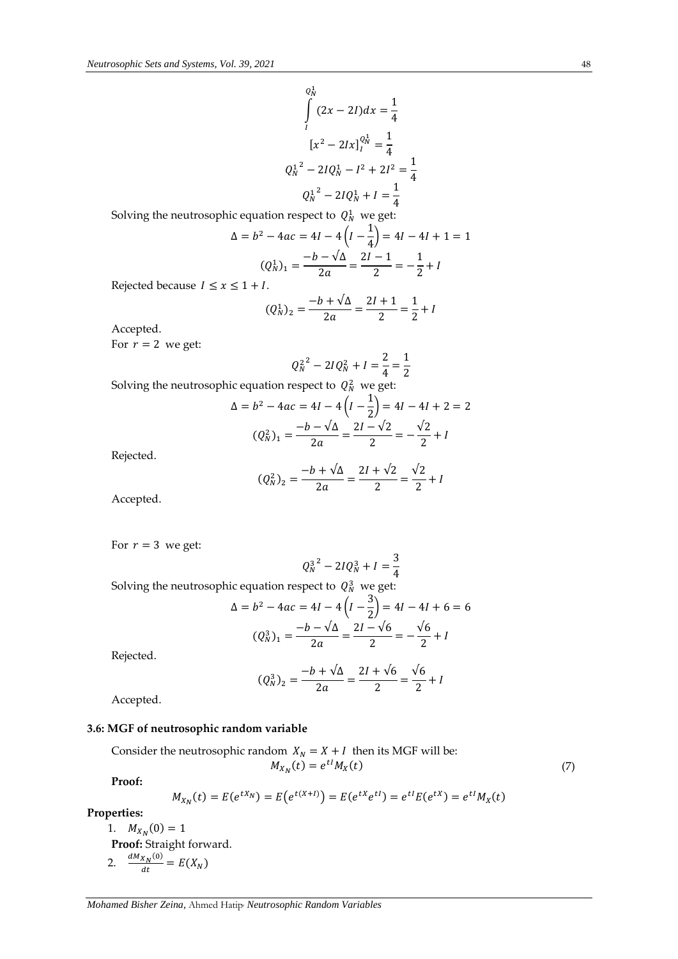$$
Q_N^1
$$
  
\n
$$
\int_I (2x - 2I) dx = \frac{1}{4}
$$
  
\n
$$
[x^2 - 2Ix]_I^{0_N^1} = \frac{1}{4}
$$
  
\n
$$
Q_N^{1^2} - 2IQ_N^1 - I^2 + 2I^2 = \frac{1}{4}
$$
  
\n
$$
Q_N^{1^2} - 2IQ_N^1 + I = \frac{1}{4}
$$

Solving the neutrosophic equation respect to  $\,Q_N^1\,$  we get:

 $\Delta$ 

$$
= b2 - 4ac = 4I - 4\left(I - \frac{1}{4}\right) = 4I - 4I + 1 = 1
$$

$$
(Q1N)1 = \frac{-b - \sqrt{\Delta}}{2a} = \frac{2I - 1}{2} = -\frac{1}{2} + I
$$

Rejected because  $I \le x \le 1 + I$ .

$$
(Q_N^1)_2 = \frac{-b + \sqrt{\Delta}}{2a} = \frac{2I + 1}{2} = \frac{1}{2} + I
$$

Accepted.

For  $r = 2$  we get:

$$
Q_N^{2^2} - 2IQ_N^2 + I = \frac{2}{4} = \frac{1}{2}
$$

Solving the neutrosophic equation respect to  $\,Q^2_N\,$  we get:

$$
\Delta = b^2 - 4ac = 4I - 4\left(I - \frac{1}{2}\right) = 4I - 4I + 2 = 2
$$

$$
(Q_N^2)_1 = \frac{-b - \sqrt{\Delta}}{2a} = \frac{2I - \sqrt{2}}{2} = -\frac{\sqrt{2}}{2} + I
$$

Rejected.

$$
(Q_N^2)_2 = \frac{-b + \sqrt{\Delta}}{2a} = \frac{2I + \sqrt{2}}{2} = \frac{\sqrt{2}}{2} + I
$$

Accepted.

For  $r = 3$  we get:

$$
Q_N^{3^2} - 2IQ_N^3 + I = \frac{3}{4}
$$

Solving the neutrosophic equation respect to  $Q_N^3$  we get:

$$
\Delta = b^2 - 4ac = 4I - 4\left(I - \frac{3}{2}\right) = 4I - 4I + 6 = 6
$$

$$
(Q_N^3)_1 = \frac{-b - \sqrt{\Delta}}{2a} = \frac{2I - \sqrt{6}}{2} = -\frac{\sqrt{6}}{2} + I
$$

Rejected.

$$
(Q_N^3)_2 = \frac{-b + \sqrt{\Delta}}{2a} = \frac{2I + \sqrt{6}}{2} = \frac{\sqrt{6}}{2} + I
$$

Accepted.

## **3.6: MGF of neutrosophic random variable**

Consider the neutrosophic random  $X_N = X + I$  then its MGF will be:  $M_{X_N}(t) = e^{tI} M_X$  $(t)$  (7)

**Proof:**

$$
M_{X_N}(t) = E(e^{tX_N}) = E(e^{t(X+t)}) = E(e^{tX}e^{tI}) = e^{tI}E(e^{tX}) = e^{tI}M_X(t)
$$

**Properties:**

1.  $M_{X_N}(0) = 1$ **Proof:** Straight forward. 2.  $\frac{dM_{X_N}(0)}{dt}$  $\frac{dX_N(x)}{dt} = E(X_N)$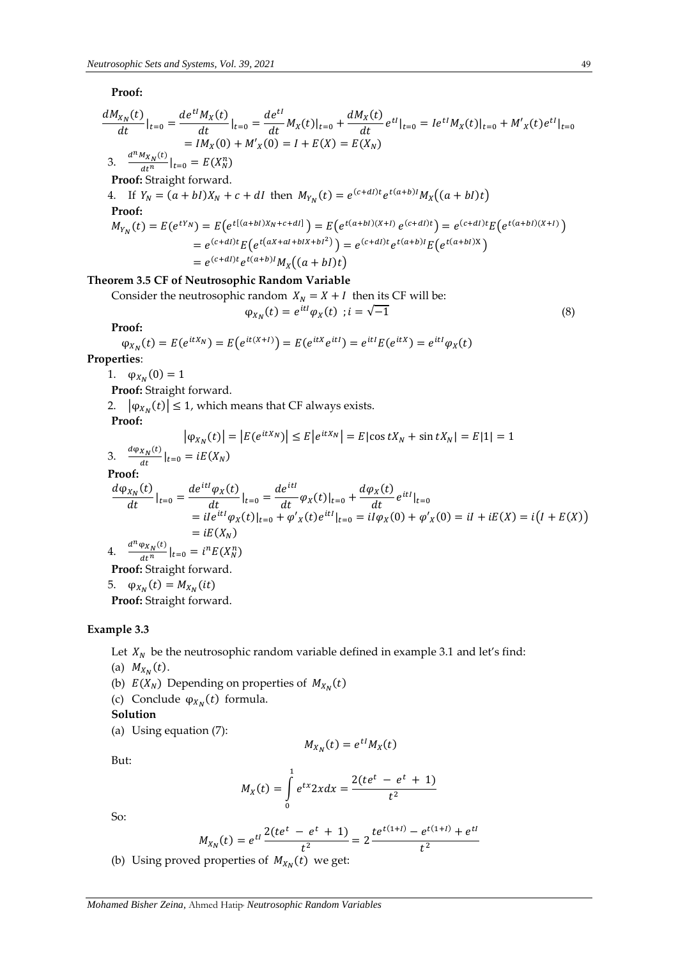## **Proof:**

$$
\frac{dM_{X_N}(t)}{dt}|_{t=0} = \frac{de^{tI}M_X(t)}{dt}|_{t=0} = \frac{de^{tI}}{dt}M_X(t)|_{t=0} + \frac{dM_X(t)}{dt}e^{tI}|_{t=0} = Ie^{tI}M_X(t)|_{t=0} + M'_X(t)e^{tI}|_{t=0}
$$
\n
$$
= IM_X(0) + M'_X(0) = I + E(X) = E(X_N)
$$
\n3. 
$$
\frac{d^mM_{X_N}(t)}{dt^n}|_{t=0} = E(X_N^n)
$$
\n**Proof:** Straight forward.  
\n4. If  $Y_N = (a + bI)X_N + c + dI$  then  $M_{Y_N}(t) = e^{(c+dl)t}e^{t(a+b)I}M_X((a+bI)t)$   
\n**Proof:**  
\n $M_{Y_N}(t) = E(e^{tY_N}) = E(e^{t[(a+bI)X_N + c + dl]}) = E(e^{t(a+bI)(X+I)}e^{(c+dI)t}) = e^{(c+dl)t}E(e^{t(a+bI)(X+I)})$   
\n
$$
= e^{(c+dl)t}E(e^{t(aX+aI+bIX+bI^2)}) = e^{(c+dl)t}e^{t(a+b)I}E(e^{t(a+bI)X})
$$
  
\n
$$
= e^{(c+dl)t}e^{t(a+b)I}M_X((a+bI)t)
$$
  
\n**Theorem 3.5 CF of Neutrosophic Random Variable**  
\nConsider the neutrosophic random  $X_N = X + I$  then its CF will be:  
\n $\varphi_{X_N}(t) = e^{itI}\varphi_X(t)$ ;  $i = \sqrt{-1}$  (8)

**Proof:**

$$
\varphi_{X_N}(t) = E(e^{itX_N}) = E(e^{it(X+t)}) = E(e^{itX}e^{itI}) = e^{itI}E(e^{itX}) = e^{itI}\varphi_X(t)
$$

**Properties**:

1.  $\varphi_{X_N}(0) = 1$ 

**Proof:** Straight forward.

2.  $|\varphi_{X_N}(t)| \leq 1$ , which means that CF always exists.

**Proof:**

$$
|\varphi_{X_N}(t)| = |E(e^{itX_N})| \le E|e^{itX_N}| = E|\cos tX_N + \sin tX_N| = E|1| = 1
$$

3. 
$$
\frac{d\varphi_{X_N}(t)}{dt}\big|_{t=0} = iE(X_N)
$$

**Proof:**

$$
\frac{d\varphi_{X_N}(t)}{dt}\Big|_{t=0} = \frac{de^{itI}\varphi_X(t)}{dt}\Big|_{t=0} = \frac{de^{itI}}{dt}\varphi_X(t)\Big|_{t=0} + \frac{d\varphi_X(t)}{dt}e^{itI}\Big|_{t=0}
$$
\n
$$
= iIe^{itI}\varphi_X(t)\Big|_{t=0} + \varphi'_X(t)e^{itI}\Big|_{t=0} = iI\varphi_X(0) + \varphi'_X(0) = iI + iE(X) = i(I + E(X))
$$
\n
$$
= iE(X_N)
$$
\n4. 
$$
\frac{d^n\varphi_{X_N}(t)}{dt^n}\Big|_{t=0} = i^nE(X_N^n)
$$

**Proof:** Straight forward.

5.  $\varphi_{X_N}(t) = M_{X_N}(it)$ 

**Proof:** Straight forward.

# **Example 3.3**

Let  $X_N$  be the neutrosophic random variable defined in example 3.1 and let's find:

- (a)  $M_{X_N}(t)$ .
- (b)  $E(X_N)$  Depending on properties of  $M_{X_N}(t)$
- (c) Conclude  $\varphi_{X_N}(t)$  formula.

**Solution**

(a) Using equation (7):

 $M_{X_N}(t) = e^{t} M_X(t)$ 

But:

$$
M_X(t) = \int\limits_0^1 e^{tx} 2x dx = \frac{2(te^t - e^t + 1)}{t^2}
$$

So:

$$
M_{X_N}(t) = e^{tI} \frac{2(te^t - e^t + 1)}{t^2} = 2 \frac{te^{t(1+l)} - e^{t(1+l)} + e^{tI}}{t^2}
$$

(b) Using proved properties of  $M_{X_N}(t)$  we get: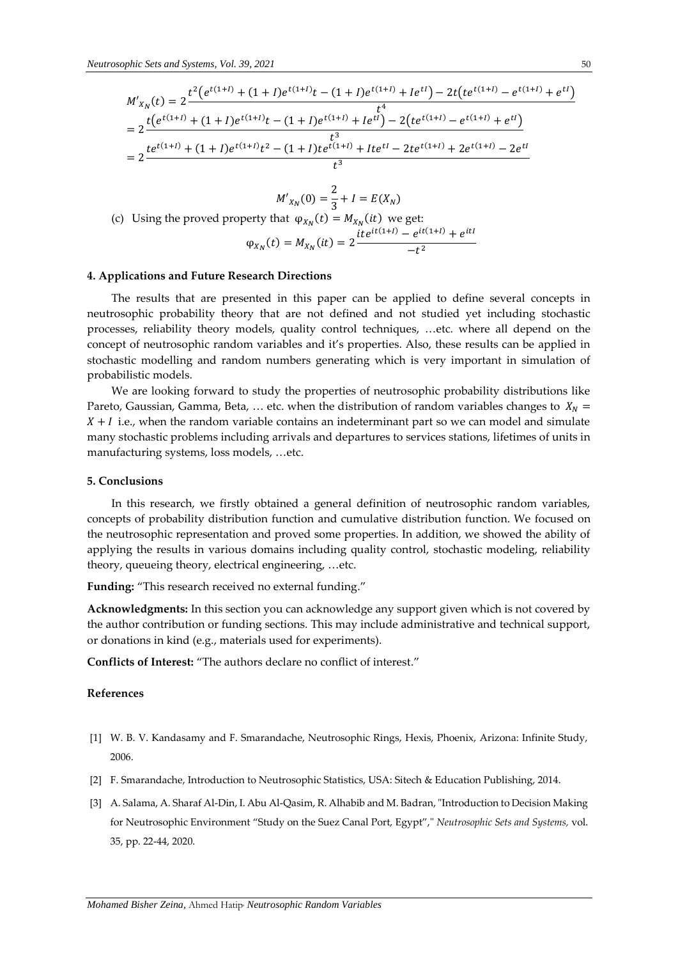$$
M'_{X_N}(t) = 2 \frac{t^2 (e^{t(1+l)} + (1+l)e^{t(1+l)}t - (1+l)e^{t(1+l)} + Ie^{tI}) - 2t (te^{t(1+l)} - e^{t(1+l)} + e^{tI})}{t^4}
$$
  
\n
$$
= 2 \frac{t (e^{t(1+l)} + (1+l)e^{t(1+l)}t - (1+l)e^{t(1+l)} + Ie^{tI}) - 2(te^{t(1+l)} - e^{t(1+l)} + e^{tI})}{t^3}
$$
  
\n
$$
= 2 \frac{te^{t(1+l)} + (1+l)e^{t(1+l)}t^2 - (1+l)t e^{t(1+l)} + Ite^{tI} - 2te^{t(1+l)} + 2e^{t(1+l)} - 2e^{tI}}{t^3}
$$
  
\n
$$
M'_{X_N}(0) = \frac{2}{3} + I = E(X_N)
$$
  
\n(c) Using the proved property that  $\varphi_{X_N}(t) = M_{X_N}(it)$  we get:  
\n
$$
\varphi_{X_N}(t) = M_{X_N}(it) = 2 \frac{ite^{it(1+l)} - e^{it(1+l)} + e^{itI}}{-t^2}
$$

#### **4. Applications and Future Research Directions**

The results that are presented in this paper can be applied to define several concepts in neutrosophic probability theory that are not defined and not studied yet including stochastic processes, reliability theory models, quality control techniques, …etc. where all depend on the concept of neutrosophic random variables and it's properties. Also, these results can be applied in stochastic modelling and random numbers generating which is very important in simulation of probabilistic models.

We are looking forward to study the properties of neutrosophic probability distributions like Pareto, Gaussian, Gamma, Beta, ... etc. when the distribution of random variables changes to  $X_N =$  $X + I$  i.e., when the random variable contains an indeterminant part so we can model and simulate many stochastic problems including arrivals and departures to services stations, lifetimes of units in manufacturing systems, loss models, …etc.

#### **5. Conclusions**

In this research, we firstly obtained a general definition of neutrosophic random variables, concepts of probability distribution function and cumulative distribution function. We focused on the neutrosophic representation and proved some properties. In addition, we showed the ability of applying the results in various domains including quality control, stochastic modeling, reliability theory, queueing theory, electrical engineering, …etc.

**Funding:** "This research received no external funding."

**Acknowledgments:** In this section you can acknowledge any support given which is not covered by the author contribution or funding sections. This may include administrative and technical support, or donations in kind (e.g., materials used for experiments).

**Conflicts of Interest:** "The authors declare no conflict of interest."

## **References**

- [1] W. B. V. Kandasamy and F. Smarandache, Neutrosophic Rings, Hexis, Phoenix, Arizona: Infinite Study, 2006.
- [2] F. Smarandache, Introduction to Neutrosophic Statistics, USA: Sitech & Education Publishing, 2014.
- [3] A. Salama, A. Sharaf Al-Din, I. Abu Al-Qasim, R. Alhabib and M. Badran, "Introduction to Decision Making for Neutrosophic Environment "Study on the Suez Canal Port, Egypt"," *Neutrosophic Sets and Systems,* vol. 35, pp. 22-44, 2020.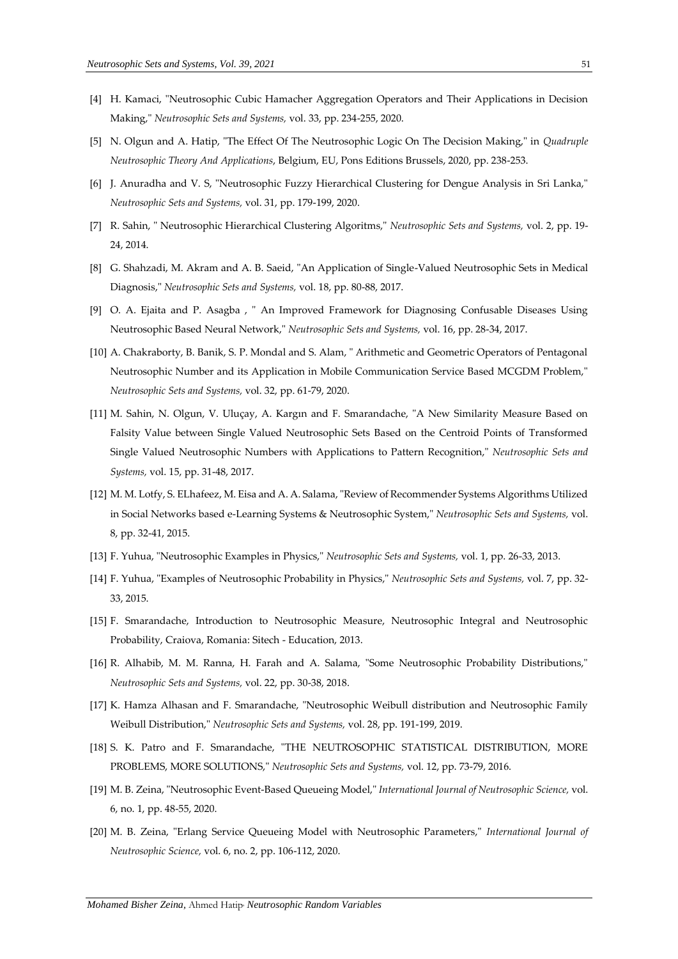- [4] H. Kamaci, "Neutrosophic Cubic Hamacher Aggregation Operators and Their Applications in Decision Making," *Neutrosophic Sets and Systems,* vol. 33, pp. 234-255, 2020.
- [5] N. Olgun and A. Hatip, "The Effect Of The Neutrosophic Logic On The Decision Making," in *Quadruple Neutrosophic Theory And Applications*, Belgium, EU, Pons Editions Brussels, 2020, pp. 238-253.
- [6] J. Anuradha and V. S, "Neutrosophic Fuzzy Hierarchical Clustering for Dengue Analysis in Sri Lanka," *Neutrosophic Sets and Systems,* vol. 31, pp. 179-199, 2020.
- [7] R. Sahin, " Neutrosophic Hierarchical Clustering Algoritms," *Neutrosophic Sets and Systems,* vol. 2, pp. 19- 24, 2014.
- [8] G. Shahzadi, M. Akram and A. B. Saeid, "An Application of Single-Valued Neutrosophic Sets in Medical Diagnosis," *Neutrosophic Sets and Systems,* vol. 18, pp. 80-88, 2017.
- [9] O. A. Ejaita and P. Asagba , " An Improved Framework for Diagnosing Confusable Diseases Using Neutrosophic Based Neural Network," *Neutrosophic Sets and Systems,* vol. 16, pp. 28-34, 2017.
- [10] A. Chakraborty, B. Banik, S. P. Mondal and S. Alam, " Arithmetic and Geometric Operators of Pentagonal Neutrosophic Number and its Application in Mobile Communication Service Based MCGDM Problem," *Neutrosophic Sets and Systems,* vol. 32, pp. 61-79, 2020.
- [11] M. Sahin, N. Olgun, V. Uluçay, A. Kargın and F. Smarandache, "A New Similarity Measure Based on Falsity Value between Single Valued Neutrosophic Sets Based on the Centroid Points of Transformed Single Valued Neutrosophic Numbers with Applications to Pattern Recognition," *Neutrosophic Sets and Systems,* vol. 15, pp. 31-48, 2017.
- [12] M. M. Lotfy, S. ELhafeez, M. Eisa and A. A. Salama, "Review of Recommender Systems Algorithms Utilized in Social Networks based e-Learning Systems & Neutrosophic System," *Neutrosophic Sets and Systems,* vol. 8, pp. 32-41, 2015.
- [13] F. Yuhua, "Neutrosophic Examples in Physics," *Neutrosophic Sets and Systems,* vol. 1, pp. 26-33, 2013.
- [14] F. Yuhua, "Examples of Neutrosophic Probability in Physics," *Neutrosophic Sets and Systems,* vol. 7, pp. 32- 33, 2015.
- [15] F. Smarandache, Introduction to Neutrosophic Measure, Neutrosophic Integral and Neutrosophic Probability, Craiova, Romania: Sitech - Education, 2013.
- [16] R. Alhabib, M. M. Ranna, H. Farah and A. Salama, "Some Neutrosophic Probability Distributions," *Neutrosophic Sets and Systems,* vol. 22, pp. 30-38, 2018.
- [17] K. Hamza Alhasan and F. Smarandache, "Neutrosophic Weibull distribution and Neutrosophic Family Weibull Distribution," *Neutrosophic Sets and Systems,* vol. 28, pp. 191-199, 2019.
- [18] S. K. Patro and F. Smarandache, "THE NEUTROSOPHIC STATISTICAL DISTRIBUTION, MORE PROBLEMS, MORE SOLUTIONS," *Neutrosophic Sets and Systems,* vol. 12, pp. 73-79, 2016.
- [19] M. B. Zeina, "Neutrosophic Event-Based Queueing Model," *International Journal of Neutrosophic Science,* vol. 6, no. 1, pp. 48-55, 2020.
- [20] M. B. Zeina, "Erlang Service Queueing Model with Neutrosophic Parameters," *International Journal of Neutrosophic Science,* vol. 6, no. 2, pp. 106-112, 2020.